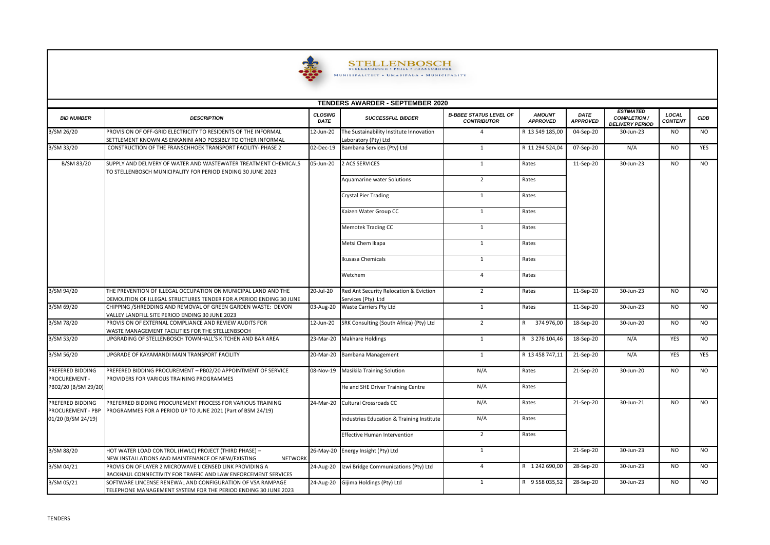

 $\underset{\text{MUNISTALITBIT - EMSE} } {\small \text{STELLENBOSCH}} {\small \text{STELINBOSCH - FRLP-RANSCHIOBK}} \\ {\small \text{MUNISTALITBIT + UMSIFALL - MUNICIFALITY}}$ 

| <b>TENDERS AWARDER - SEPTEMBER 2020</b> |                                                                                                                                       |                        |                                                                 |                                                     |                                  |                         |                                                                   |                         |             |  |  |  |
|-----------------------------------------|---------------------------------------------------------------------------------------------------------------------------------------|------------------------|-----------------------------------------------------------------|-----------------------------------------------------|----------------------------------|-------------------------|-------------------------------------------------------------------|-------------------------|-------------|--|--|--|
| <b>BID NUMBER</b>                       | <b>DESCRIPTION</b>                                                                                                                    | <b>CLOSING</b><br>DATE | <b>SUCCESSFUL BIDDER</b>                                        | <b>B-BBEE STATUS LEVEL OF</b><br><b>CONTRIBUTOR</b> | <b>AMOUNT</b><br><b>APPROVED</b> | DATE<br><b>APPROVED</b> | <b>ESTIMATED</b><br><b>COMPLETION /</b><br><b>DELIVERY PERIOD</b> | LOCAL<br><b>CONTENT</b> | <b>CIDB</b> |  |  |  |
| B/SM 26/20                              | PROVISION OF OFF-GRID ELECTRICITY TO RESIDENTS OF THE INFORMAL<br>SETTLEMENT KNOWN AS ENKANINI AND POSSIBLY TO OTHER INFORMAL         | 12-Jun-20              | The Sustainability Institute Innovation<br>Laboratory (Pty) Ltd | $\overline{4}$                                      | R 13 549 185,00                  | 04-Sep-20               | 30-Jun-23                                                         | <b>NO</b>               | NO.         |  |  |  |
| B/SM 33/20                              | CONSTRUCTION OF THE FRANSCHHOEK TRANSPORT FACILITY- PHASE 2                                                                           | 02-Dec-19              | Bambana Services (Pty) Ltd                                      | 1                                                   | R 11 294 524,04                  | 07-Sep-20               | N/A                                                               | NO.                     | YES         |  |  |  |
| B/SM 83/20                              | SUPPLY AND DELIVERY OF WATER AND WASTEWATER TREATMENT CHEMICALS<br>TO STELLENBOSCH MUNICIPALITY FOR PERIOD ENDING 30 JUNE 2023        | 05-Jun-20              | 2 ACS SERVICES                                                  | 1                                                   | Rates                            | 11-Sep-20               | 30-Jun-23                                                         | NO.                     | <b>NO</b>   |  |  |  |
|                                         |                                                                                                                                       |                        | Aquamarine water Solutions                                      | $\overline{2}$                                      | Rates                            |                         |                                                                   |                         |             |  |  |  |
|                                         |                                                                                                                                       |                        | Crystal Pier Trading                                            | 1                                                   | Rates                            |                         |                                                                   |                         |             |  |  |  |
|                                         |                                                                                                                                       |                        | Kaizen Water Group CC                                           | 1                                                   | Rates                            |                         |                                                                   |                         |             |  |  |  |
|                                         |                                                                                                                                       |                        | <b>Memotek Trading CC</b>                                       | 1                                                   | Rates                            |                         |                                                                   |                         |             |  |  |  |
|                                         |                                                                                                                                       |                        | Metsi Chem Ikapa                                                | 1                                                   | Rates                            |                         |                                                                   |                         |             |  |  |  |
|                                         |                                                                                                                                       |                        | Ikusasa Chemicals                                               | 1                                                   | Rates                            |                         |                                                                   |                         |             |  |  |  |
|                                         |                                                                                                                                       |                        | Wetchem                                                         | $\overline{4}$                                      | Rates                            |                         |                                                                   |                         |             |  |  |  |
| B/SM 94/20                              | THE PREVENTION OF ILLEGAL OCCUPATION ON MUNICIPAL LAND AND THE<br>DEMOLITION OF ILLEGAL STRUCTURES TENDER FOR A PERIOD ENDING 30 JUNE | 20-Jul-20              | Red Ant Security Relocation & Eviction<br>Services (Pty) Ltd    | 2                                                   | Rates                            | 11-Sep-20               | 30-Jun-23                                                         | NO.                     | NO.         |  |  |  |
| B/SM 69/20                              | CHIPPING /SHREDDING AND REMOVAL OF GREEN GARDEN WASTE: DEVON<br>VALLEY LANDFILL SITE PERIOD ENDING 30 JUNE 2023                       | 03-Aug-20              | <b>Waste Carriers Pty Ltd</b>                                   | 1                                                   | Rates                            | 11-Sep-20               | 30-Jun-23                                                         | <b>NO</b>               | <b>NO</b>   |  |  |  |
| B/SM 78/20                              | PROVISION OF EXTERNAL COMPLIANCE AND REVIEW AUDITS FOR<br>WASTE MANAGEMENT FACILITIES FOR THE STELLENBSOCH                            | 12-Jun-20              | SRK Consulting (South Africa) (Pty) Ltd                         | $\overline{2}$                                      | R 374 976,00                     | 18-Sep-20               | 30-Jun-20                                                         | <b>NO</b>               | <b>NO</b>   |  |  |  |
| B/SM 53/20                              | UPGRADING OF STELLENBOSCH TOWNHALL'S KITCHEN AND BAR AREA                                                                             | 23-Mar-20              | <b>Makhare Holdings</b>                                         | 1                                                   | R 3 276 104,46                   | 18-Sep-20               | N/A                                                               | <b>YES</b>              | NO.         |  |  |  |
| B/SM 56/20                              | UPGRADE OF KAYAMANDI MAIN TRANSPORT FACILITY                                                                                          | 20-Mar-20              | Bambana Management                                              | 1                                                   | R 13 458 747,11                  | 21-Sep-20               | N/A                                                               | <b>YES</b>              | YES         |  |  |  |
| PREFERED BIDDING<br>PROCUREMENT -       | PREFERED BIDDING PROCUREMENT - PB02/20 APPOINTMENT OF SERVICE<br>PROVIDERS FOR VARIOUS TRAINING PROGRAMMES                            | 08-Nov-19              | <b>Masikila Training Solution</b>                               | N/A                                                 | Rates                            | 21-Sep-20               | 30-Jun-20                                                         | NO.                     | <b>NO</b>   |  |  |  |
| PB02/20 (B/SM 29/20)                    |                                                                                                                                       |                        | He and SHE Driver Training Centre                               | N/A                                                 | Rates                            |                         |                                                                   |                         |             |  |  |  |
| PREFERED BIDDING<br>PROCUREMENT - PBP   | PREFERRED BIDDING PROCUREMENT PROCESS FOR VARIOUS TRAINING<br>PROGRAMMES FOR A PERIOD UP TO JUNE 2021 (Part of BSM 24/19)             | 24-Mar-20              | <b>Cultural Crossroads CC</b>                                   | N/A                                                 | Rates                            | 21-Sep-20               | 30-Jun-21                                                         | <b>NO</b>               | <b>NO</b>   |  |  |  |
| 01/20 (B/SM 24/19)                      |                                                                                                                                       |                        | Industries Education & Training Institute                       | N/A                                                 | Rates                            |                         |                                                                   |                         |             |  |  |  |
|                                         |                                                                                                                                       |                        | Effective Human Intervention                                    | 2                                                   | Rates                            |                         |                                                                   |                         |             |  |  |  |
| B/SM 88/20                              | HOT WATER LOAD CONTROL (HWLC) PROJECT (THIRD PHASE) -<br>NEW INSTALLATIONS AND MAINTENANCE OF NEW/EXISTING<br><b>NETWORK</b>          | 26-May-20              | Energy Insight (Pty) Ltd                                        | 1                                                   |                                  | 21-Sep-20               | 30-Jun-23                                                         | <b>NO</b>               | <b>NO</b>   |  |  |  |
| B/SM 04/21                              | PROVISION OF LAYER 2 MICROWAVE LICENSED LINK PROVIDING A<br>BACKHAUL CONNECTIVITY FOR TRAFFIC AND LAW ENFORCEMENT SERVICES            | 24-Aug-20              | Izwi Bridge Communications (Pty) Ltd                            | $\overline{4}$                                      | R 1242 690,00                    | 28-Sep-20               | 30-Jun-23                                                         | N <sub>O</sub>          | <b>NO</b>   |  |  |  |
| B/SM 05/21                              | SOFTWARE LINCENSE RENEWAL AND CONFIGURATION OF VSA RAMPAGE<br>TELEPHONE MANAGEMENT SYSTEM FOR THE PERIOD ENDING 30 JUNE 2023          | 24-Aug-20              | Gijima Holdings (Pty) Ltd                                       | 1                                                   | R 9558035,52                     | 28-Sep-20               | 30-Jun-23                                                         | NO.                     | NO.         |  |  |  |